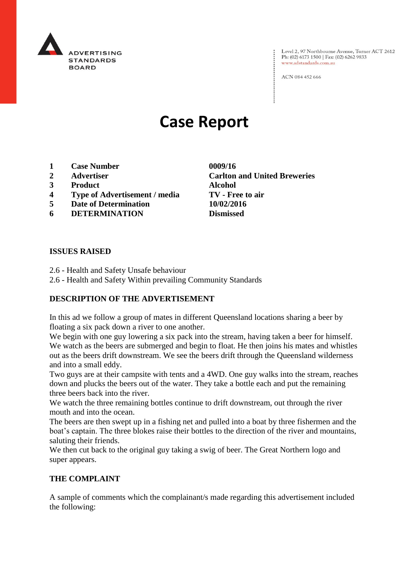

Level 2, 97 Northbourne Avenue, Turner ACT 2612<br>Ph: (02) 6173 1500 | Fax: (02) 6262 9833 www.adstandards.com.au

ACN 084 452 666

# **Case Report**

- **1 Case Number 0009/16**
- **2 Advertiser Carlton and United Breweries**
- **3 Product Alcohol**
- **4 Type of Advertisement / media TV - Free to air**
- **5 Date of Determination 10/02/2016**
- **6 DETERMINATION Dismissed**

**ISSUES RAISED**

- 2.6 Health and Safety Unsafe behaviour
- 2.6 Health and Safety Within prevailing Community Standards

## **DESCRIPTION OF THE ADVERTISEMENT**

In this ad we follow a group of mates in different Queensland locations sharing a beer by floating a six pack down a river to one another.

We begin with one guy lowering a six pack into the stream, having taken a beer for himself. We watch as the beers are submerged and begin to float. He then joins his mates and whistles out as the beers drift downstream. We see the beers drift through the Queensland wilderness and into a small eddy.

Two guys are at their campsite with tents and a 4WD. One guy walks into the stream, reaches down and plucks the beers out of the water. They take a bottle each and put the remaining three beers back into the river.

We watch the three remaining bottles continue to drift downstream, out through the river mouth and into the ocean.

The beers are then swept up in a fishing net and pulled into a boat by three fishermen and the boat's captain. The three blokes raise their bottles to the direction of the river and mountains, saluting their friends.

We then cut back to the original guy taking a swig of beer. The Great Northern logo and super appears.

#### **THE COMPLAINT**

A sample of comments which the complainant/s made regarding this advertisement included the following: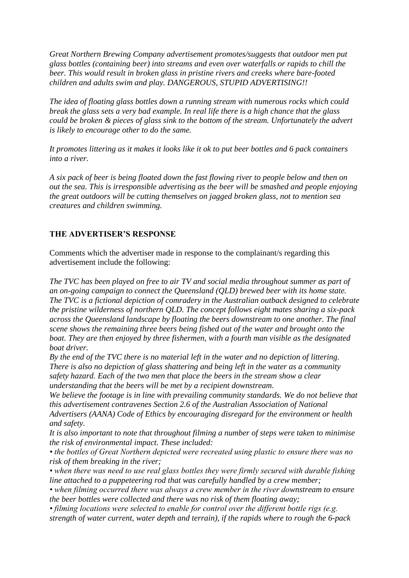*Great Northern Brewing Company advertisement promotes/suggests that outdoor men put glass bottles (containing beer) into streams and even over waterfalls or rapids to chill the beer. This would result in broken glass in pristine rivers and creeks where bare-footed children and adults swim and play. DANGEROUS, STUPID ADVERTISING!!*

*The idea of floating glass bottles down a running stream with numerous rocks which could break the glass sets a very bad example. In real life there is a high chance that the glass could be broken & pieces of glass sink to the bottom of the stream. Unfortunately the advert is likely to encourage other to do the same.*

*It promotes littering as it makes it looks like it ok to put beer bottles and 6 pack containers into a river.*

*A six pack of beer is being floated down the fast flowing river to people below and then on out the sea. This is irresponsible advertising as the beer will be smashed and people enjoying the great outdoors will be cutting themselves on jagged broken glass, not to mention sea creatures and children swimming.*

## **THE ADVERTISER'S RESPONSE**

Comments which the advertiser made in response to the complainant/s regarding this advertisement include the following:

*The TVC has been played on free to air TV and social media throughout summer as part of an on-going campaign to connect the Queensland (QLD) brewed beer with its home state. The TVC is a fictional depiction of comradery in the Australian outback designed to celebrate the pristine wilderness of northern QLD. The concept follows eight mates sharing a six-pack across the Queensland landscape by floating the beers downstream to one another. The final scene shows the remaining three beers being fished out of the water and brought onto the boat. They are then enjoyed by three fishermen, with a fourth man visible as the designated boat driver.*

*By the end of the TVC there is no material left in the water and no depiction of littering. There is also no depiction of glass shattering and being left in the water as a community safety hazard. Each of the two men that place the beers in the stream show a clear understanding that the beers will be met by a recipient downstream.*

*We believe the footage is in line with prevailing community standards. We do not believe that this advertisement contravenes Section 2.6 of the Australian Association of National Advertisers (AANA) Code of Ethics by encouraging disregard for the environment or health* 

*and safety. It is also important to note that throughout filming a number of steps were taken to minimise the risk of environmental impact. These included:*

*• the bottles of Great Northern depicted were recreated using plastic to ensure there was no risk of them breaking in the river;*

*• when there was need to use real glass bottles they were firmly secured with durable fishing line attached to a puppeteering rod that was carefully handled by a crew member;*

*• when filming occurred there was always a crew member in the river downstream to ensure the beer bottles were collected and there was no risk of them floating away;*

*• filming locations were selected to enable for control over the different bottle rigs (e.g. strength of water current, water depth and terrain), if the rapids where to rough the 6-pack*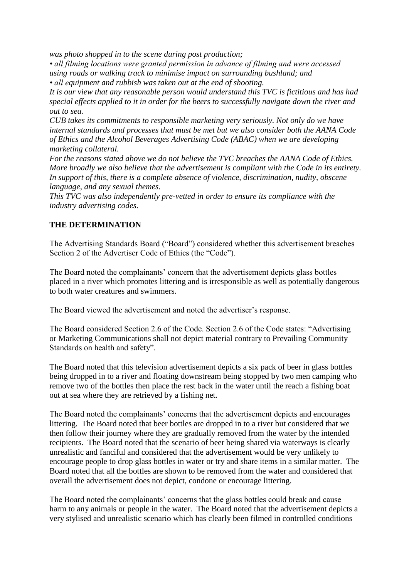*was photo shopped in to the scene during post production;*

*• all filming locations were granted permission in advance of filming and were accessed using roads or walking track to minimise impact on surrounding bushland; and • all equipment and rubbish was taken out at the end of shooting.*

*It is our view that any reasonable person would understand this TVC is fictitious and has had special effects applied to it in order for the beers to successfully navigate down the river and out to sea.*

*CUB takes its commitments to responsible marketing very seriously. Not only do we have internal standards and processes that must be met but we also consider both the AANA Code of Ethics and the Alcohol Beverages Advertising Code (ABAC) when we are developing marketing collateral.*

*For the reasons stated above we do not believe the TVC breaches the AANA Code of Ethics. More broadly we also believe that the advertisement is compliant with the Code in its entirety. In support of this, there is a complete absence of violence, discrimination, nudity, obscene language, and any sexual themes.*

*This TVC was also independently pre-vetted in order to ensure its compliance with the industry advertising codes.*

## **THE DETERMINATION**

The Advertising Standards Board ("Board") considered whether this advertisement breaches Section 2 of the Advertiser Code of Ethics (the "Code").

The Board noted the complainants' concern that the advertisement depicts glass bottles placed in a river which promotes littering and is irresponsible as well as potentially dangerous to both water creatures and swimmers.

The Board viewed the advertisement and noted the advertiser's response.

The Board considered Section 2.6 of the Code. Section 2.6 of the Code states: "Advertising or Marketing Communications shall not depict material contrary to Prevailing Community Standards on health and safety".

The Board noted that this television advertisement depicts a six pack of beer in glass bottles being dropped in to a river and floating downstream being stopped by two men camping who remove two of the bottles then place the rest back in the water until the reach a fishing boat out at sea where they are retrieved by a fishing net.

The Board noted the complainants' concerns that the advertisement depicts and encourages littering. The Board noted that beer bottles are dropped in to a river but considered that we then follow their journey where they are gradually removed from the water by the intended recipients. The Board noted that the scenario of beer being shared via waterways is clearly unrealistic and fanciful and considered that the advertisement would be very unlikely to encourage people to drop glass bottles in water or try and share items in a similar matter. The Board noted that all the bottles are shown to be removed from the water and considered that overall the advertisement does not depict, condone or encourage littering.

The Board noted the complainants' concerns that the glass bottles could break and cause harm to any animals or people in the water. The Board noted that the advertisement depicts a very stylised and unrealistic scenario which has clearly been filmed in controlled conditions